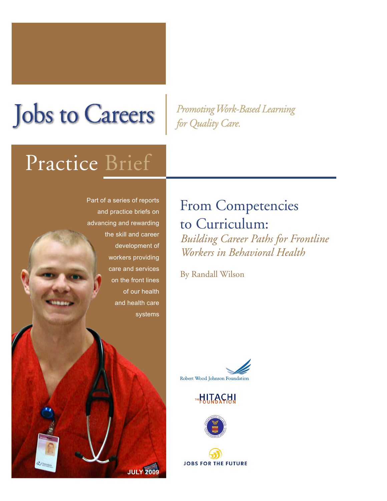# **Jobs to Careers**

Promoting Work-Based Learning for Quality Care.

## Practice Brief

Part of a series of reports and practice briefs on advancing and rewarding the skill and career development of workers providing care and services on the front lines of our health and health care systems

**JULY 2009**

## From Competencies to Curriculum:

*Building Career Paths for Frontline Workers in Behavioral Health*

By Randall Wilson







**JOBS FOR THE FUTURE**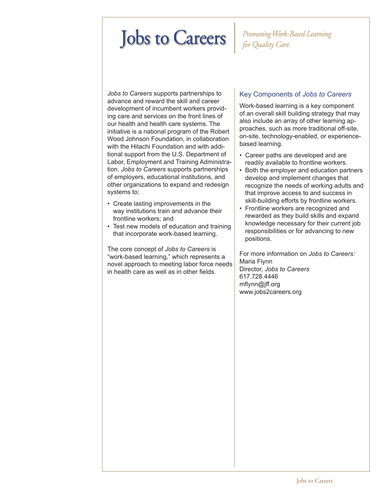## **Jobs to Careers**

#### Promoting Work-Based Learning for Quality Care.

*Jobs to Careers* supports partnerships to advance and reward the skill and career development of incumbent workers providing care and services on the front lines of our health and health care systems. The initiative is a national program of the Robert Wood Johnson Foundation, in collaboration with the Hitachi Foundation and with additional support from the U.S. Department of Labor, Employment and Training Administration. *Jobs to Careers* supports partnerships of employers, educational institutions, and other organizations to expand and redesign systems to:

- Create lasting improvements in the way institutions train and advance their frontline workers; and
- Test new models of education and training that incorporate work-based learning.

The core concept of *Jobs to Careers* is "work-based learning," which represents a novel approach to meeting labor force needs in health care as well as in other fields.

#### Key Components of *Jobs to Careers*

Work-based learning is a key component of an overall skill building strategy that may also include an array of other learning approaches, such as more traditional off-site, on-site, technology-enabled, or experiencebased learning.

- Career paths are developed and are readily available to frontline workers.
- Both the employer and education partners develop and implement changes that recognize the needs of working adults and that improve access to and success in skill-building efforts by frontline workers.
- Frontline workers are recognized and rewarded as they build skills and expand knowledge necessary for their current job responsibilities or for advancing to new positions.

For more information on *Jobs to Careers:* Maria Flynn Director, *Jobs to Careers* 617.728.4446 mflynn@jff.org www.jobs2careers.org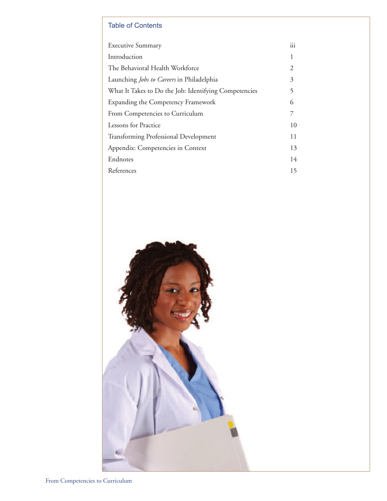#### Table of Contents

| <b>Executive Summary</b>                              | iii |
|-------------------------------------------------------|-----|
| Introduction                                          | 1   |
| The Behavioral Health Workforce                       | 2   |
| Launching Jobs to Careers in Philadelphia             | 3   |
| What It Takes to Do the Job: Identifying Competencies | 5   |
| Expanding the Competency Framework                    | 6   |
| From Competencies to Curriculum                       | 7   |
| Lessons for Practice                                  | 10  |
| <b>Transforming Professional Development</b>          | 11  |
| Appendix: Competencies in Context                     |     |
| Endnotes                                              | 14  |
| References                                            | 15  |
|                                                       |     |

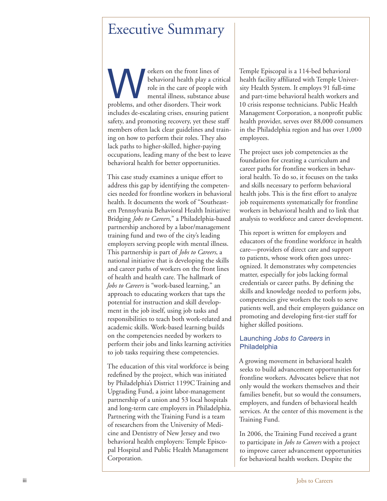### Executive Summary

orkers on the front lines of behavioral health play a critical role in the care of people with mental illness, substance abuse orkers on the front lines of<br>behavioral health play a criti<br>role in the care of people with<br>mental illness, substance abu<br>problems, and other disorders. Their work includes de-escalating crises, ensuring patient safety, and promoting recovery, yet these staff members often lack clear guidelines and train ing on how to perform their roles. They also lack paths to higher-skilled, higher-paying occupations, leading many of the best to leave behavioral health for better opportunities.

This case study examines a unique effort to address this gap by identifying the competen cies needed for frontline workers in behavioral health. It documents the work of "Southeast ern Pennsylvania Behavioral Health Initiative: Bridging *Jobs to Careers*," a Philadelphia-based partnership anchored by a labor/management training fund and two of the city's leading employers serving people with mental illness. This partnership is part of *Jobs to Careers*, a national initiative that is developing the skills and career paths of workers on the front lines of health and health care. The hallmark of *Jobs to Careers* is "work-based learning," an approach to educating workers that taps the potential for instruction and skill develop ment in the job itself, using job tasks and responsibilities to teach both work-related and academic skills. Work-based learning builds on the competencies needed by workers to perform their jobs and links learning activities to job tasks requiring these competencies.

The education of this vital workforce is being redefined by the project, which was initiated by Philadelphia's District 1199C Training and Upgrading Fund, a joint labor-management partnership of a union and 53 local hospitals and long-term care employers in Philadelphia. Partnering with the Training Fund is a team of researchers from the University of Medi cine and Dentistry of New Jersey and two behavioral health employers: Temple Episco pal Hospital and Public Health Management Corporation.

Temple Episcopal is a 114-bed behavioral health facility affiliated with Temple Univer sity Health System. It employs 91 full-time and part-time behavioral health workers and 10 crisis response technicians. Public Health Management Corporation, a nonprofit public health provider, serves over 88,000 consumers in the Philadelphia region and has over 1,000 employees.

The project uses job competencies as the foundation for creating a curriculum and career paths for frontline workers in behav ioral health. To do so, it focuses on the tasks and skills necessary to perform behavioral health jobs. This is the first effort to analyze job requirements systematically for frontline workers in behavioral health and to link that analysis to workforce and career development.

This report is written for employers and educators of the frontline workforce in health care—providers of direct care and support to patients, whose work often goes unrec ognized. It demonstrates why competencies matter, especially for jobs lacking formal credentials or career paths. By defining the skills and knowledge needed to perform jobs, competencies give workers the tools to serve patients well, and their employers guidance on promoting and developing first-tier staff for higher skilled positions.

#### Launching *Jobs to Careers* in **Philadelphia**

A growing movement in behavioral health seeks to build advancement opportunities for frontline workers. Advocates believe that not only would the workers themselves and their families benefit, but so would the consumers, employers, and funders of behavioral health services. At the center of this movement is the Training Fund.

In 2006, the Training Fund received a grant to participate in *Jobs to Careers* with a project to improve career advancement opportunities for behavioral health workers. Despite the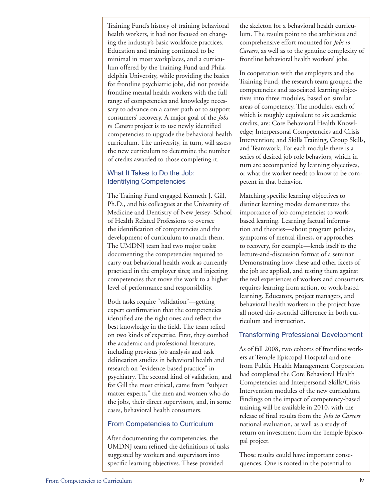Training Fund's history of training behavioral health workers, it had not focused on changing the industry's basic workforce practices. Education and training continued to be minimal in most workplaces, and a curriculum offered by the Training Fund and Philadelphia University, while providing the basics for frontline psychiatric jobs, did not provide frontline mental health workers with the full range of competencies and knowledge necessary to advance on a career path or to support consumers' recovery. A major goal of the *Jobs to Careers* project is to use newly identified competencies to upgrade the behavioral health curriculum. The university, in turn, will assess the new curriculum to determine the number of credits awarded to those completing it.

#### What It Takes to Do the Job: Identifying Competencies

The Training Fund engaged Kenneth J. Gill, Ph.D., and his colleagues at the University of Medicine and Dentistry of New Jersey–School of Health Related Professions to oversee the identification of competencies and the development of curriculum to match them. The UMDNJ team had two major tasks: documenting the competencies required to carry out behavioral health work as currently practiced in the employer sites; and injecting competencies that move the work to a higher level of performance and responsibility.

Both tasks require "validation"—getting expert confirmation that the competencies identified are the right ones and reflect the best knowledge in the field. The team relied on two kinds of expertise. First, they combed the academic and professional literature, including previous job analysis and task delineation studies in behavioral health and research on "evidence-based practice" in psychiatry. The second kind of validation, and for Gill the most critical, came from "subject matter experts," the men and women who do the jobs, their direct supervisors, and, in some cases, behavioral health consumers.

#### From Competencies to Curriculum

After documenting the competencies, the UMDNJ team refined the definitions of tasks suggested by workers and supervisors into specific learning objectives. These provided

the skeleton for a behavioral health curriculum. The results point to the ambitious and comprehensive effort mounted for *Jobs to Careers*, as well as to the genuine complexity of frontline behavioral health workers' jobs.

In cooperation with the employers and the Training Fund, the research team grouped the competencies and associated learning objectives into three modules, based on similar areas of competency. The modules, each of which is roughly equivalent to six academic credits, are: Core Behavioral Health Knowledge; Interpersonal Competencies and Crisis Intervention; and Skills Training, Group Skills, and Teamwork. For each module there is a series of desired job role behaviors, which in turn are accompanied by learning objectives, or what the worker needs to know to be competent in that behavior.

Matching specific learning objectives to distinct learning modes demonstrates the importance of job competencies to workbased learning. Learning factual information and theories—about program policies, symptoms of mental illness, or approaches to recovery, for example—lends itself to the lecture-and-discussion format of a seminar. Demonstrating how these and other facets of the job are applied, and testing them against the real experiences of workers and consumers, requires learning from action, or work-based learning. Educators, project managers, and behavioral health workers in the project have all noted this essential difference in both curriculum and instruction.

#### Transforming Professional Development

As of fall 2008, two cohorts of frontline workers at Temple Episcopal Hospital and one from Public Health Management Corporation had completed the Core Behavioral Health Competencies and Interpersonal Skills/Crisis Intervention modules of the new curriculum. Findings on the impact of competency-based training will be available in 2010, with the release of final results from the *Jobs to Careers* national evaluation, as well as a study of return on investment from the Temple Episcopal project.

Those results could have important consequences. One is rooted in the potential to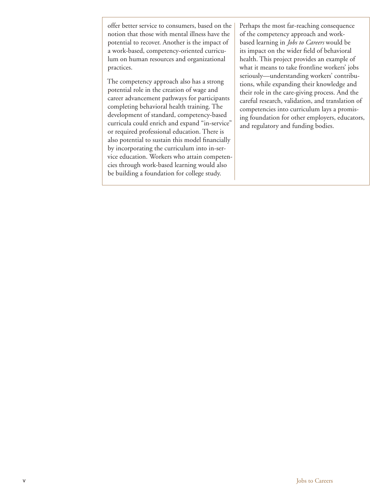offer better service to consumers, based on the notion that those with mental illness have the potential to recover. Another is the impact of a work-based, competency-oriented curriculum on human resources and organizational practices.

The competency approach also has a strong potential role in the creation of wage and career advancement pathways for participants completing behavioral health training. The development of standard, competency-based curricula could enrich and expand "in-service" or required professional education. There is also potential to sustain this model financially by incorporating the curriculum into in-service education. Workers who attain competencies through work-based learning would also be building a foundation for college study.

Perhaps the most far-reaching consequence of the competency approach and workbased learning in *Jobs to Careers* would be its impact on the wider field of behavioral health. This project provides an example of what it means to take frontline workers' jobs seriously—understanding workers' contributions, while expanding their knowledge and their role in the care-giving process. And the careful research, validation, and translation of competencies into curriculum lays a promising foundation for other employers, educators, and regulatory and funding bodies.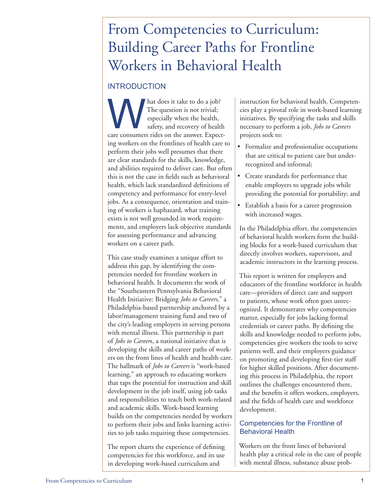### From Competencies to Curriculum: Building Career Paths for Frontline Workers in Behavioral Health

#### INTRODUCTION

hat does it take to do a job? The question is not trivial; especially when the health, safety, and recovery of health that does it take to do a job?<br>The question is not trivial;<br>especially when the health,<br>safety, and recovery of health<br>care consumers rides on the answer. Expecting workers on the frontlines of health care to perform their jobs well presumes that there are clear standards for the skills, knowledge, and abilities required to deliver care. But often this is not the case in fields such as behavioral health, which lack standardized definitions of competency and performance for entry-level jobs. As a consequence, orientation and training of workers is haphazard, what training exists is not well grounded in work requirements, and employers lack objective standards for assessing performance and advancing workers on a career path.

This case study examines a unique effort to address this gap, by identifying the competencies needed for frontline workers in behavioral health. It documents the work of the "Southeastern Pennsylvania Behavioral Health Initiative: Bridging *Jobs to Careers*," a Philadelphia-based partnership anchored by a labor/management training fund and two of the city's leading employers in serving persons with mental illness. This partnership is part of *Jobs to Career*s, a national initiative that is developing the skills and career paths of workers on the front lines of health and health care. The hallmark of *Jobs to Careers* is "work-based learning," an approach to educating workers that taps the potential for instruction and skill development in the job itself, using job tasks and responsibilities to teach both work-related and academic skills. Work-based learning builds on the competencies needed by workers to perform their jobs and links learning activities to job tasks requiring these competencies.

The report charts the experience of defining competencies for this workforce, and its use in developing work-based curriculum and

instruction for behavioral health. Competencies play a pivotal role in work-based learning initiatives. By specifying the tasks and skills necessary to perform a job, *Jobs to Careers* projects seek to:

- • Formalize and professionalize occupations that are critical to patient care but underrecognized and informal;
- • Create standards for performance that enable employers to upgrade jobs while providing the potential for portability; and
- • Establish a basis for a career progression with increased wages.

In the Philadelphia effort, the competencies of behavioral health workers form the building blocks for a work-based curriculum that directly involves workers, supervisors, and academic instructors in the learning process.

This report is written for employers and educators of the frontline workforce in health care—providers of direct care and support to patients, whose work often goes unrecognized. It demonstrates why competencies matter, especially for jobs lacking formal credentials or career paths. By defining the skills and knowledge needed to perform jobs, competencies give workers the tools to serve patients well, and their employers guidance on promoting and developing first-tier staff for higher skilled positions. After documenting this process in Philadelphia, the report outlines the challenges encountered there, and the benefits it offers workers, employers, and the fields of health care and workforce development.

#### Competencies for the Frontline of Behavioral Health

Workers on the front lines of behavioral health play a critical role in the care of people with mental illness, substance abuse prob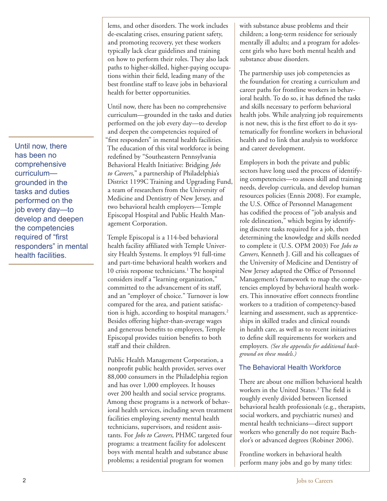Until now, there has been no comprehensive curriculum grounded in the tasks and duties performed on the job every day—to develop and deepen the competencies required of "first responders" in mental health facilities.

lems, and other disorders. The work includes de-escalating crises, ensuring patient safety, and promoting recovery, yet these workers typically lack clear guidelines and training on how to perform their roles. They also lack paths to higher-skilled, higher-paying occupations within their field, leading many of the best frontline staff to leave jobs in behavioral health for better opportunities.

Until now, there has been no comprehensive curriculum—grounded in the tasks and duties performed on the job every day—to develop and deepen the competencies required of "first responders" in mental health facilities. The education of this vital workforce is being redefined by "Southeastern Pennsylvania Behavioral Health Initiative: Bridging *Jobs to Careers*," a partnership of Philadelphia's District 1199C Training and Upgrading Fund, a team of researchers from the University of Medicine and Dentistry of New Jersey, and two behavioral health employers—Temple Episcopal Hospital and Public Health Management Corporation.

Temple Episcopal is a 114-bed behavioral health facility affiliated with Temple University Health Systems. It employs 91 full-time and part-time behavioral health workers and 10 crisis response technicians.<sup>1</sup> The hospital considers itself a "learning organization," committed to the advancement of its staff, and an "employer of choice." Turnover is low compared for the area, and patient satisfaction is high, according to hospital managers.<sup>2</sup> Besides offering higher-than-average wages and generous benefits to employees, Temple Episcopal provides tuition benefits to both staff and their children.

Public Health Management Corporation, a nonprofit public health provider, serves over 88,000 consumers in the Philadelphia region and has over 1,000 employees. It houses over 200 health and social service programs. Among these programs is a network of behavioral health services, including seven treatment facilities employing seventy mental health technicians, supervisors, and resident assistants. For *Jobs to Careers*, PHMC targeted four programs: a treatment facility for adolescent boys with mental health and substance abuse problems; a residential program for women

with substance abuse problems and their children; a long-term residence for seriously mentally ill adults; and a program for adolescent girls who have both mental health and substance abuse disorders.

The partnership uses job competencies as the foundation for creating a curriculum and career paths for frontline workers in behavioral health. To do so, it has defined the tasks and skills necessary to perform behavioral health jobs. While analyzing job requirements is not new, this is the first effort to do it systematically for frontline workers in behavioral health and to link that analysis to workforce and career development.

Employers in both the private and public sectors have long used the process of identifying competencies—to assess skill and training needs, develop curricula, and develop human resources policies (Ennis 2008). For example, the U.S. Office of Personnel Management has codified the process of "job analysis and role delineation," which begins by identifying discrete tasks required for a job, then determining the knowledge and skills needed to complete it (U.S. OPM 2003) For *Jobs to Careers*, Kenneth J. Gill and his colleagues of the University of Medicine and Dentistry of New Jersey adapted the Office of Personnel Management's framework to map the competencies employed by behavioral health workers. This innovative effort connects frontline workers to a tradition of competency-based learning and assessment, such as apprenticeships in skilled trades and clinical rounds in health care, as well as to recent initiatives to define skill requirements for workers and employers. *(See the appendix for additional background on these models.)*

#### The Behavioral Health Workforce

There are about one million behavioral health workers in the United States.3 The field is roughly evenly divided between licensed behavioral health professionals (e.g., therapists, social workers, and psychiatric nurses) and mental health technicians—direct support workers who generally do not require Bachelor's or advanced degrees (Robiner 2006).

Frontline workers in behavioral health perform many jobs and go by many titles: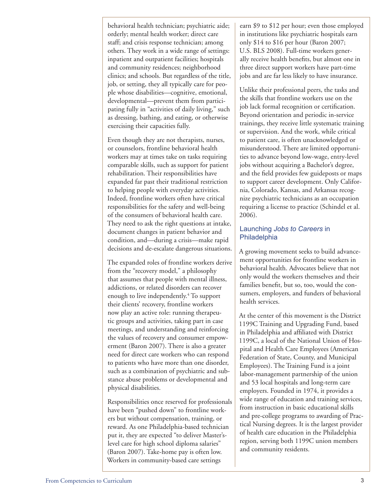behavioral health technician; psychiatric aide; orderly; mental health worker; direct care staff; and crisis response technician; among others. They work in a wide range of settings: inpatient and outpatient facilities; hospitals and community residences; neighborhood clinics; and schools. But regardless of the title, job, or setting, they all typically care for people whose disabilities—cognitive, emotional, developmental—prevent them from participating fully in "activities of daily living," such as dressing, bathing, and eating, or otherwise exercising their capacities fully.

Even though they are not therapists, nurses, or counselors, frontline behavioral health workers may at times take on tasks requiring comparable skills, such as support for patient rehabilitation. Their responsibilities have expanded far past their traditional restriction to helping people with everyday activities. Indeed, frontline workers often have critical responsibilities for the safety and well-being of the consumers of behavioral health care. They need to ask the right questions at intake, document changes in patient behavior and condition, and—during a crisis—make rapid decisions and de-escalate dangerous situations.

The expanded roles of frontline workers derive from the "recovery model," a philosophy that assumes that people with mental illness, addictions, or related disorders can recover enough to live independently.<sup>4</sup> To support their clients' recovery, frontline workers now play an active role: running therapeutic groups and activities, taking part in case meetings, and understanding and reinforcing the values of recovery and consumer empowerment (Baron 2007). There is also a greater need for direct care workers who can respond to patients who have more than one disorder, such as a combination of psychiatric and substance abuse problems or developmental and physical disabilities.

Responsibilities once reserved for professionals have been "pushed down" to frontline workers but without compensation, training, or reward. As one Philadelphia-based technician put it, they are expected "to deliver Master'slevel care for high school diploma salaries" (Baron 2007). Take-home pay is often low. Workers in community-based care settings

earn \$9 to \$12 per hour; even those employed in institutions like psychiatric hospitals earn only \$14 to \$16 per hour (Baron 2007; U.S. BLS 2008). Full-time workers generally receive health benefits, but almost one in three direct support workers have part-time jobs and are far less likely to have insurance.

Unlike their professional peers, the tasks and the skills that frontline workers use on the job lack formal recognition or certification. Beyond orientation and periodic in-service trainings, they receive little systematic training or supervision. And the work, while critical to patient care, is often unacknowledged or misunderstood. There are limited opportunities to advance beyond low-wage, entry-level jobs without acquiring a Bachelor's degree, and the field provides few guideposts or maps to support career development. Only California, Colorado, Kansas, and Arkansas recognize psychiatric technicians as an occupation requiring a license to practice (Schindel et al. 2006).

#### Launching *Jobs to Careers* in **Philadelphia**

A growing movement seeks to build advancement opportunities for frontline workers in behavioral health. Advocates believe that not only would the workers themselves and their families benefit, but so, too, would the consumers, employers, and funders of behavioral health services.

At the center of this movement is the District 1199C Training and Upgrading Fund, based in Philadelphia and affiliated with District 1199C, a local of the National Union of Hospital and Health Care Employees (American Federation of State, County, and Municipal Employees). The Training Fund is a joint labor-management partnership of the union and 53 local hospitals and long-term care employers. Founded in 1974, it provides a wide range of education and training services, from instruction in basic educational skills and pre-college programs to awarding of Practical Nursing degrees. It is the largest provider of health care education in the Philadelphia region, serving both 1199C union members and community residents.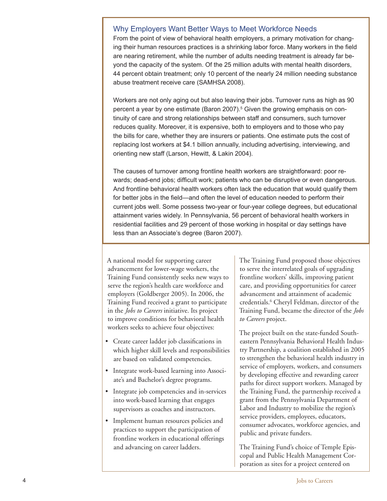#### Why Employers Want Better Ways to Meet Workforce Needs

From the point of view of behavioral health employers, a primary motivation for changing their human resources practices is a shrinking labor force. Many workers in the field are nearing retirement, while the number of adults needing treatment is already far beyond the capacity of the system. Of the 25 million adults with mental health disorders, 44 percent obtain treatment; only 10 percent of the nearly 24 million needing substance abuse treatment receive care (SAMHSA 2008).

Workers are not only aging out but also leaving their jobs. Turnover runs as high as 90 percent a year by one estimate (Baron 2007).<sup>5</sup> Given the growing emphasis on continuity of care and strong relationships between staff and consumers, such turnover reduces quality. Moreover, it is expensive, both to employers and to those who pay the bills for care, whether they are insurers or patients. One estimate puts the cost of replacing lost workers at \$4.1 billion annually, including advertising, interviewing, and orienting new staff (Larson, Hewitt, & Lakin 2004).

The causes of turnover among frontline health workers are straightforward: poor rewards; dead-end jobs; difficult work; patients who can be disruptive or even dangerous. And frontline behavioral health workers often lack the education that would qualify them for better jobs in the field—and often the level of education needed to perform their current jobs well. Some possess two-year or four-year college degrees, but educational attainment varies widely. In Pennsylvania, 56 percent of behavioral health workers in residential facilities and 29 percent of those working in hospital or day settings have less than an Associate's degree (Baron 2007).

A national model for supporting career advancement for lower-wage workers, the Training Fund consistently seeks new ways to serve the region's health care workforce and employers (Goldberger 2005). In 2006, the Training Fund received a grant to participate in the *Jobs to Careers* initiative. Its project to improve conditions for behavioral health workers seeks to achieve four objectives:

- • Create career ladder job classifications in which higher skill levels and responsibilities are based on validated competencies.
- Integrate work-based learning into Associate's and Bachelor's degree programs.
- Integrate job competencies and in-services into work-based learning that engages supervisors as coaches and instructors.
- • Implement human resources policies and practices to support the participation of frontline workers in educational offerings and advancing on career ladders.

The Training Fund proposed those objectives to serve the interrelated goals of upgrading frontline workers' skills, improving patient care, and providing opportunities for career advancement and attainment of academic credentials.<sup>6</sup> Cheryl Feldman, director of the Training Fund, became the director of the *Jobs to Careers* project.

The project built on the state-funded Southeastern Pennsylvania Behavioral Health Industry Partnership, a coalition established in 2005 to strengthen the behavioral health industry in service of employers, workers, and consumers by developing effective and rewarding career paths for direct support workers. Managed by the Training Fund, the partnership received a grant from the Pennsylvania Department of Labor and Industry to mobilize the region's service providers, employees, educators, consumer advocates, workforce agencies, and public and private funders.

The Training Fund's choice of Temple Episcopal and Public Health Management Corporation as sites for a project centered on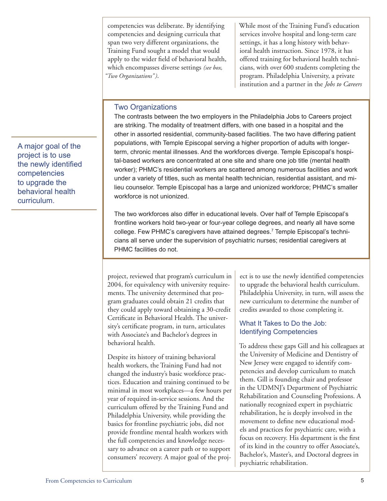competencies was deliberate. By identifying competencies and designing curricula that span two very different organizations, the Training Fund sought a model that would apply to the wider field of behavioral health, which encompasses diverse settings *(see box, "Two Organizations" )*.

While most of the Training Fund's education services involve hospital and long-term care settings, it has a long history with behavioral health instruction. Since 1978, it has offered training for behavioral health technicians, with over 600 students completing the program. Philadelphia University, a private institution and a partner in the *Jobs to Careers*

#### Two Organizations

The contrasts between the two employers in the Philadelphia Jobs to Careers project are striking. The modality of treatment differs, with one based in a hospital and the other in assorted residential, community-based facilities. The two have differing patient populations, with Temple Episcopal serving a higher proportion of adults with longerterm, chronic mental illnesses. And the workforces diverge. Temple Episcopal's hospital-based workers are concentrated at one site and share one job title (mental health worker); PHMC's residential workers are scattered among numerous facilities and work under a variety of titles, such as mental health technician, residential assistant, and milieu counselor. Temple Episcopal has a large and unionized workforce; PHMC's smaller workforce is not unionized.

The two workforces also differ in educational levels. Over half of Temple Episcopal's frontline workers hold two-year or four-year college degrees, and nearly all have some college. Few PHMC's caregivers have attained degrees.7 Temple Episcopal's technicians all serve under the supervision of psychiatric nurses; residential caregivers at PHMC facilities do not.

project, reviewed that program's curriculum in 2004, for equivalency with university requirements. The university determined that program graduates could obtain 21 credits that they could apply toward obtaining a 30-credit Certificate in Behavioral Health. The university's certificate program, in turn, articulates with Associate's and Bachelor's degrees in behavioral health.

Despite its history of training behavioral health workers, the Training Fund had not changed the industry's basic workforce practices. Education and training continued to be minimal in most workplaces—a few hours per year of required in-service sessions. And the curriculum offered by the Training Fund and Philadelphia University, while providing the basics for frontline psychiatric jobs, did not provide frontline mental health workers with the full competencies and knowledge necessary to advance on a career path or to support consumers' recovery. A major goal of the project is to use the newly identified competencies to upgrade the behavioral health curriculum. Philadelphia University, in turn, will assess the new curriculum to determine the number of credits awarded to those completing it.

#### What It Takes to Do the Job: Identifying Competencies

To address these gaps Gill and his colleagues at the University of Medicine and Dentistry of New Jersey were engaged to identify competencies and develop curriculum to match them. Gill is founding chair and professor in the UDMNJ's Department of Psychiatric Rehabilitation and Counseling Professions. A nationally recognized expert in psychiatric rehabilitation, he is deeply involved in the movement to define new educational models and practices for psychiatric care, with a focus on recovery. His department is the first of its kind in the country to offer Associate's, Bachelor's, Master's, and Doctoral degrees in psychiatric rehabilitation.

A major goal of the project is to use the newly identified competencies to upgrade the behavioral health curriculum.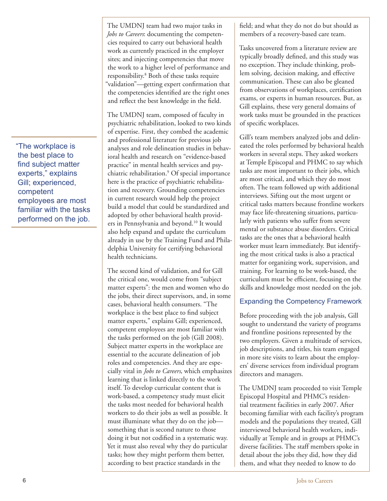"The workplace is the best place to find subject matter experts," explains Gill; experienced, competent employees are most familiar with the tasks performed on the job.

The UMDNJ team had two major tasks in *Jobs to Careers*: documenting the competencies required to carry out behavioral health work as currently practiced in the employer sites; and injecting competencies that move the work to a higher level of performance and responsibility.8 Both of these tasks require "validation"—getting expert confirmation that the competencies identified are the right ones and reflect the best knowledge in the field.

The UMDNJ team, composed of faculty in psychiatric rehabilitation, looked to two kinds of expertise. First, they combed the academic and professional literature for previous job analyses and role delineation studies in behavioral health and research on "evidence-based practice" in mental health services and psychiatric rehabilitation.9 Of special importance here is the practice of psychiatric rehabilitation and recovery. Grounding competencies in current research would help the project build a model that could be standardized and adopted by other behavioral health providers in Pennsylvania and beyond.<sup>10</sup> It would also help expand and update the curriculum already in use by the Training Fund and Philadelphia University for certifying behavioral health technicians.

The second kind of validation, and for Gill the critical one, would come from "subject matter experts": the men and women who do the jobs, their direct supervisors, and, in some cases, behavioral health consumers. "The workplace is the best place to find subject matter experts," explains Gill; experienced, competent employees are most familiar with the tasks performed on the job (Gill 2008). Subject matter experts in the workplace are essential to the accurate delineation of job roles and competencies. And they are especially vital in *Jobs to Careers*, which emphasizes learning that is linked directly to the work itself. To develop curricular content that is work-based, a competency study must elicit the tasks most needed for behavioral health workers to do their jobs as well as possible. It must illuminate what they do on the job something that is second nature to those doing it but not codified in a systematic way. Yet it must also reveal why they do particular tasks; how they might perform them better, according to best practice standards in the

field; and what they do not do but should as members of a recovery-based care team.

Tasks uncovered from a literature review are typically broadly defined, and this study was no exception. They include thinking, problem solving, decision making, and effective communication. These can also be gleaned from observations of workplaces, certification exams, or experts in human resources. But, as Gill explains, these very general domains of work tasks must be grounded in the practices of specific workplaces.

Gill's team members analyzed jobs and delineated the roles performed by behavioral health workers in several steps. They asked workers at Temple Episcopal and PHMC to say which tasks are most important to their jobs, which are most critical, and which they do most often. The team followed up with additional interviews. Sifting out the most urgent or critical tasks matters because frontline workers may face life-threatening situations, particularly with patients who suffer from severe mental or substance abuse disorders. Critical tasks are the ones that a behavioral health worker must learn immediately. But identifying the most critical tasks is also a practical matter for organizing work, supervision, and training. For learning to be work-based, the curriculum must be efficient, focusing on the skills and knowledge most needed on the job.

#### Expanding the Competency Framework

Before proceeding with the job analysis, Gill sought to understand the variety of programs and frontline positions represented by the two employers. Given a multitude of services, job descriptions, and titles, his team engaged in more site visits to learn about the employers' diverse services from individual program directors and managers.

The UMDNJ team proceeded to visit Temple Episcopal Hospital and PHMC's residential treatment facilities in early 2007. After becoming familiar with each facility's program models and the populations they treated, Gill interviewed behavioral health workers, individually at Temple and in groups at PHMC's diverse facilities. The staff members spoke in detail about the jobs they did, how they did them, and what they needed to know to do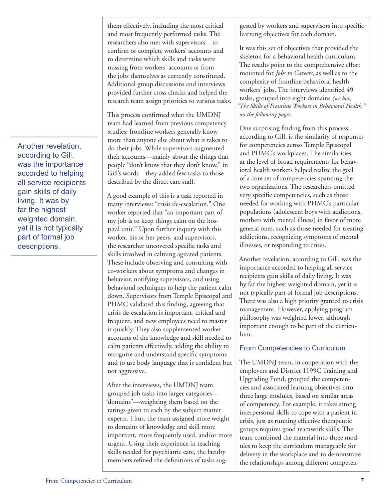Another revelation, according to Gill, was the importance accorded to helping all service recipients gain skills of daily living. It was by far the highest weighted domain, yet it is not typically part of formal job descriptions.

them effectively, including the most critical and most frequently performed tasks. The researchers also met with supervisors—to confirm or complete workers' accounts and to determine which skills and tasks were missing from workers' accounts or from the jobs themselves as currently constituted. Additional group discussions and interviews provided further cross checks and helped the research team assign priorities to various tasks.

This process confirmed what the UMDNJ team had learned from previous competency studies: frontline workers generally know more than anyone else about what it takes to do their jobs. While supervisors augmented their accounts—mainly about the things that people "don't know that they don't know," in Gill's words—they added few tasks to those described by the direct care staff.

A good example of this is a task reported in many interviews: "crisis de-escalation." One worker reported that "an important part of my job is to keep things calm on the hospital unit." Upon further inquiry with this worker, his or her peers, and supervisors, the researcher uncovered specific tasks and skills involved in calming agitated patients. These include observing and consulting with co-workers about symptoms and changes in behavior, notifying supervisors, and using behavioral techniques to help the patient calm down. Supervisors from Temple Episcopal and PHMC validated this finding, agreeing that crisis de-escalation is important, critical and frequent, and new employees need to master it quickly. They also supplemented worker accounts of the knowledge and skill needed to calm patients effectively, adding the ability to recognize and understand specific symptoms and to use body language that is confident but not aggressive.

After the interviews, the UMDNJ team grouped job tasks into larger categories— "domains"—weighting them based on the ratings given to each by the subject matter experts. Thus, the team assigned more weight to domains of knowledge and skill more important, more frequently used, and/or more urgent. Using their experience in teaching skills needed for psychiatric care, the faculty members refined the definitions of tasks sug-

gested by workers and supervisors into specific learning objectives for each domain.

It was this set of objectives that provided the skeleton for a behavioral health curriculum. The results point to the comprehensive effort mounted for *Jobs to Careers*, as well as to the complexity of frontline behavioral health workers' jobs. The interviews identified 49 tasks, grouped into eight domains *(see box, "The Skills of Frontline Workers in Behavioral Health," on the following page)*.

One surprising finding from this process, according to Gill, is the similarity of responses for competencies across Temple Episcopal and PHMC's workplaces. The similarities at the level of broad requirements for behavioral health workers helped realize the goal of a core set of competencies spanning the two organizations. The researchers omitted very specific competencies, such as those needed for working with PHMC's particular populations (adolescent boys with addictions, mothers with mental illness) in favor of more general ones, such as those needed for treating addictions, recognizing symptoms of mental illnesses, or responding to crises.

Another revelation, according to Gill, was the importance accorded to helping all service recipients gain skills of daily living. It was by far the highest weighted domain, yet it is not typically part of formal job descriptions. There was also a high priority granted to crisis management. However, applying program philosophy was weighted lower, although important enough to be part of the curriculum.

#### From Competencies to Curriculum

The UMDNJ team, in cooperation with the employers and District 1199C Training and Upgrading Fund, grouped the competencies and associated learning objectives into three large modules, based on similar areas of competency. For example, it takes strong interpersonal skills to cope with a patient in crisis, just as running effective therapeutic groups requires good teamwork skills. The team combined the material into three modules to keep the curriculum manageable for delivery in the workplace and to demonstrate the relationships among different competen-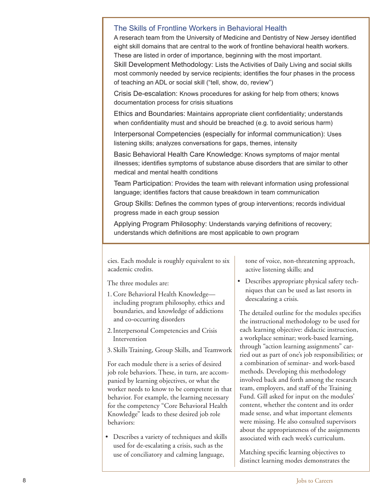#### The Skills of Frontline Workers in Behavioral Health

A reserach team from the University of Medicine and Dentistry of New Jersey identified eight skill domains that are central to the work of frontline behavioral health workers. These are listed in order of importance, beginning with the most important.

Skill Development Methodology: Lists the Activities of Daily Living and social skills most commonly needed by service recipients; identifies the four phases in the process of teaching an ADL or social skill ("tell, show, do, review")

Crisis De-escalation: Knows procedures for asking for help from others; knows documentation process for crisis situations

Ethics and Boundaries: Maintains appropriate client confidentiality; understands when confidentiality must and should be breached (e.g. to avoid serious harm)

Interpersonal Competencies (especially for informal communication): Uses listening skills; analyzes conversations for gaps, themes, intensity

Basic Behavioral Health Care Knowledge: Knows symptoms of major mental illnesses; identifies symptoms of substance abuse disorders that are similar to other medical and mental health conditions

Team Participation: Provides the team with relevant information using professional language; identifies factors that cause breakdown in team communication

Group Skills: Defines the common types of group interventions; records individual progress made in each group session

Applying Program Philosophy: Understands varying definitions of recovery; understands which definitions are most applicable to own program

cies. Each module is roughly equivalent to six academic credits.

The three modules are:

- 1.Core Behavioral Health Knowledge including program philosophy, ethics and boundaries, and knowledge of addictions and co-occurring disorders
- 2.Interpersonal Competencies and Crisis Intervention
- 3.Skills Training, Group Skills, and Teamwork

For each module there is a series of desired job role behaviors. These, in turn, are accompanied by learning objectives, or what the worker needs to know to be competent in that behavior. For example, the learning necessary for the competency "Core Behavioral Health Knowledge" leads to these desired job role behaviors:

• Describes a variety of techniques and skills used for de-escalating a crisis, such as the use of conciliatory and calming language,

tone of voice, non-threatening approach, active listening skills; and

• Describes appropriate physical safety techniques that can be used as last resorts in deescalating a crisis.

The detailed outline for the modules specifies the instructional methodology to be used for each learning objective: didactic instruction, a workplace seminar; work-based learning, through "action learning assignments" carried out as part of one's job responsibilities; or a combination of seminar- and work-based methods. Developing this methodology involved back and forth among the research team, employers, and staff of the Training Fund. Gill asked for input on the modules' content, whether the content and its order made sense, and what important elements were missing. He also consulted supervisors about the appropriateness of the assignments associated with each week's curriculum.

Matching specific learning objectives to distinct learning modes demonstrates the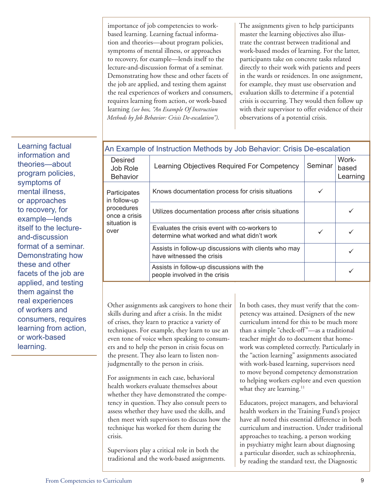importance of job competencies to workbased learning. Learning factual information and theories—about program policies, symptoms of mental illness, or approaches to recovery, for example—lends itself to the lecture-and-discussion format of a seminar. Demonstrating how these and other facets of the job are applied, and testing them against the real experiences of workers and consumers, requires learning from action, or work-based learning *(see box, "An Example Of Instruction Methods by Job Behavior: Crisis De-escalation")*.

The assignments given to help participants master the learning objectives also illustrate the contrast between traditional and work-based modes of learning. For the latter, participants take on concrete tasks related directly to their work with patients and peers in the wards or residences. In one assignment, for example, they must use observation and evaluation skills to determine if a potential crisis is occurring. They would then follow up with their supervisor to offer evidence of their observations of a potential crisis.

| An Example of Instruction Methods by Job Behavior: Crisis De-escalation             |                                                                                             |         |                            |  |
|-------------------------------------------------------------------------------------|---------------------------------------------------------------------------------------------|---------|----------------------------|--|
| Desired<br>Job Role<br><b>Behavior</b>                                              | Learning Objectives Required For Competency                                                 | Seminar | Work-<br>based<br>Learning |  |
| Participates<br>in follow-up<br>procedures<br>once a crisis<br>situation is<br>over | Knows documentation process for crisis situations                                           | ✓       |                            |  |
|                                                                                     | Utilizes documentation process after crisis situations                                      |         |                            |  |
|                                                                                     | Evaluates the crisis event with co-workers to<br>determine what worked and what didn't work | ✓       |                            |  |
|                                                                                     | Assists in follow-up discussions with clients who may<br>have witnessed the crisis          |         |                            |  |
|                                                                                     | Assists in follow-up discussions with the<br>people involved in the crisis                  |         |                            |  |

Other assignments ask caregivers to hone their skills during and after a crisis. In the midst of crises, they learn to practice a variety of techniques. For example, they learn to use an even tone of voice when speaking to consumers and to help the person in crisis focus on the present. They also learn to listen nonjudgmentally to the person in crisis.

For assignments in each case, behavioral health workers evaluate themselves about whether they have demonstrated the competency in question. They also consult peers to assess whether they have used the skills, and then meet with supervisors to discuss how the technique has worked for them during the crisis.

Supervisors play a critical role in both the traditional and the work-based assignments. In both cases, they must verify that the competency was attained. Designers of the new curriculum intend for this to be much more than a simple "check-off"—as a traditional teacher might do to document that homework was completed correctly. Particularly in the "action learning" assignments associated with work-based learning, supervisors need to move beyond competency demonstration to helping workers explore and even question what they are learning. $11$ 

Educators, project managers, and behavioral health workers in the Training Fund's project have all noted this essential difference in both curriculum and instruction. Under traditional approaches to teaching, a person working in psychiatry might learn about diagnosing a particular disorder, such as schizophrenia, by reading the standard text, the Diagnostic

Learning factual information and theories—about program policies, symptoms of mental illness, or approaches to recovery, for example—lends itself to the lectureand-discussion format of a seminar. Demonstrating how these and other facets of the job are applied, and testing them against the real experiences of workers and consumers, requires learning from action, or work-based learning.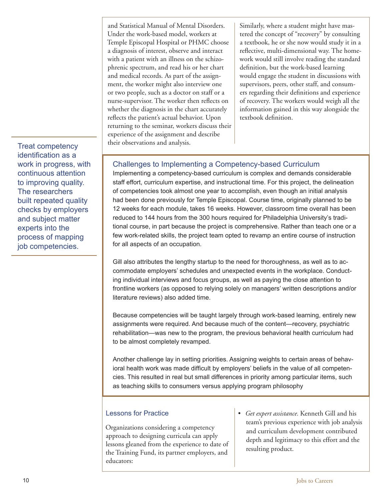Under the work-based model, workers at Temple Episcopal Hospital or PHMC choose a diagnosis of interest, observe and interact with a patient with an illness on the schizophrenic spectrum, and read his or her chart and medical records. As part of the assignment, the worker might also interview one or two people, such as a doctor on staff or a nurse-supervisor. The worker then reflects on whether the diagnosis in the chart accurately reflects the patient's actual behavior. Upon returning to the seminar, workers discuss their experience of the assignment and describe their observations and analysis.

and Statistical Manual of Mental Disorders.

Similarly, where a student might have mastered the concept of "recovery" by consulting a textbook, he or she now would study it in a reflective, multi-dimensional way. The homework would still involve reading the standard definition, but the work-based learning would engage the student in discussions with supervisors, peers, other staff, and consumers regarding their definitions and experience of recovery. The workers would weigh all the information gained in this way alongside the textbook definition.

Challenges to Implementing a Competency-based Curriculum

Implementing a competency-based curriculum is complex and demands considerable staff effort, curriculum expertise, and instructional time. For this project, the delineation of competencies took almost one year to accomplish, even though an initial analysis had been done previously for Temple Episcopal. Course time, originally planned to be 12 weeks for each module, takes 16 weeks. However, classroom time overall has been reduced to 144 hours from the 300 hours required for Philadelphia University's traditional course, in part because the project is comprehensive. Rather than teach one or a few work-related skills, the project team opted to revamp an entire course of instruction for all aspects of an occupation.

Gill also attributes the lengthy startup to the need for thoroughness, as well as to accommodate employers' schedules and unexpected events in the workplace. Conducting individual interviews and focus groups, as well as paying the close attention to frontline workers (as opposed to relying solely on managers' written descriptions and/or literature reviews) also added time.

Because competencies will be taught largely through work-based learning, entirely new assignments were required. And because much of the content—recovery, psychiatric rehabilitation—was new to the program, the previous behavioral health curriculum had to be almost completely revamped.

Another challenge lay in setting priorities. Assigning weights to certain areas of behavioral health work was made difficult by employers' beliefs in the value of all competencies. This resulted in real but small differences in priority among particular items, such as teaching skills to consumers versus applying program philosophy

#### Lessons for Practice

Organizations considering a competency approach to designing curricula can apply lessons gleaned from the experience to date of the Training Fund, its partner employers, and educators:

*• Get expert assistance.* Kenneth Gill and his team's previous experience with job analysis and curriculum development contributed depth and legitimacy to this effort and the resulting product.

Treat competency identification as a work in progress, with continuous attention to improving quality. The researchers built repeated quality checks by employers and subject matter experts into the process of mapping job competencies.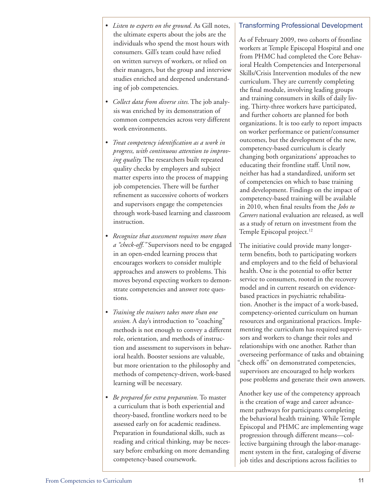- *• Listen to experts on the ground.* As Gill notes, the ultimate experts about the jobs are the individuals who spend the most hours with consumers. Gill's team could have relied on written surveys of workers, or relied on their managers, but the group and interview studies enriched and deepened understanding of job competencies.
- *• Collect data from diverse sites.* The job analysis was enriched by its demonstration of common competencies across very different work environments.
- *• Treat competency identification as a work in progress, with continuous attention to improving quality.* The researchers built repeated quality checks by employers and subject matter experts into the process of mapping job competencies. There will be further refinement as successive cohorts of workers and supervisors engage the competencies through work-based learning and classroom instruction.
- *• Recognize that assessment requires more than a "check-off."* Supervisors need to be engaged in an open-ended learning process that encourages workers to consider multiple approaches and answers to problems. This moves beyond expecting workers to demonstrate competencies and answer rote questions.
- *• Training the trainers takes more than one session.* A day's introduction to "coaching" methods is not enough to convey a different role, orientation, and methods of instruction and assessment to supervisors in behavioral health. Booster sessions are valuable, but more orientation to the philosophy and methods of competency-driven, work-based learning will be necessary.
- *• Be prepared for extra preparation.* To master a curriculum that is both experiential and theory-based, frontline workers need to be assessed early on for academic readiness. Preparation in foundational skills, such as reading and critical thinking, may be necessary before embarking on more demanding competency-based coursework.

#### Transforming Professional Development

As of February 2009, two cohorts of frontline workers at Temple Episcopal Hospital and one from PHMC had completed the Core Behavioral Health Competencies and Interpersonal Skills/Crisis Intervention modules of the new curriculum. They are currently completing the final module, involving leading groups and training consumers in skills of daily living. Thirty-three workers have participated, and further cohorts are planned for both organizations. It is too early to report impacts on worker performance or patient/consumer outcomes, but the development of the new, competency-based curriculum is clearly changing both organizations' approaches to educating their frontline staff. Until now, neither has had a standardized, uniform set of competencies on which to base training and development. Findings on the impact of competency-based training will be available in 2010, when final results from the *Jobs to Careers* national evaluation are released, as well as a study of return on investment from the Temple Episcopal project.<sup>12</sup>

The initiative could provide many longerterm benefits, both to participating workers and employers and to the field of behavioral health. One is the potential to offer better service to consumers, rooted in the recovery model and in current research on evidencebased practices in psychiatric rehabilitation. Another is the impact of a work-based, competency-oriented curriculum on human resources and organizational practices. Implementing the curriculum has required supervisors and workers to change their roles and relationships with one another. Rather than overseeing performance of tasks and obtaining "check offs" on demonstrated competencies, supervisors are encouraged to help workers pose problems and generate their own answers.

Another key use of the competency approach is the creation of wage and career advancement pathways for participants completing the behavioral health training. While Temple Episcopal and PHMC are implementing wage progression through different means—collective bargaining through the labor-management system in the first, cataloging of diverse job titles and descriptions across facilities to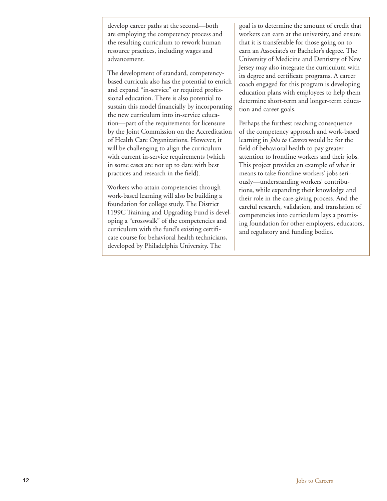develop career paths at the second—both are employing the competency process and the resulting curriculum to rework human resource practices, including wages and advancement.

The development of standard, competencybased curricula also has the potential to enrich and expand "in-service" or required professional education. There is also potential to sustain this model financially by incorporating the new curriculum into in-service education—part of the requirements for licensure by the Joint Commission on the Accreditation of Health Care Organizations. However, it will be challenging to align the curriculum with current in-service requirements (which in some cases are not up to date with best practices and research in the field).

Workers who attain competencies through work-based learning will also be building a foundation for college study. The District 1199C Training and Upgrading Fund is developing a "crosswalk" of the competencies and curriculum with the fund's existing certificate course for behavioral health technicians, developed by Philadelphia University. The

goal is to determine the amount of credit that workers can earn at the university, and ensure that it is transferable for those going on to earn an Associate's or Bachelor's degree. The University of Medicine and Dentistry of New Jersey may also integrate the curriculum with its degree and certificate programs. A career coach engaged for this program is developing education plans with employees to help them determine short-term and longer-term education and career goals.

Perhaps the furthest reaching consequence of the competency approach and work-based learning in *Jobs to Careers* would be for the field of behavioral health to pay greater attention to frontline workers and their jobs. This project provides an example of what it means to take frontline workers' jobs seriously—understanding workers' contributions, while expanding their knowledge and their role in the care-giving process. And the careful research, validation, and translation of competencies into curriculum lays a promising foundation for other employers, educators, and regulatory and funding bodies.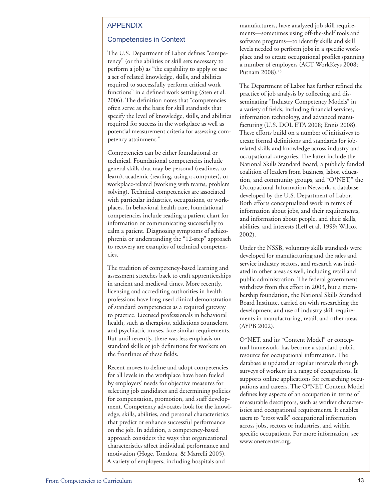#### APPENDIX

#### Competencies in Context

The U.S. Department of Labor defines "competency" (or the abilities or skill sets necessary to perform a job) as "the capability to apply or use a set of related knowledge, skills, and abilities required to successfully perform critical work functions" in a defined work setting (Sten et al. 2006). The definition notes that "competencies often serve as the basis for skill standards that specify the level of knowledge, skills, and abilities required for success in the workplace as well as potential measurement criteria for assessing competency attainment."

Competencies can be either foundational or technical. Foundational competencies include general skills that may be personal (readiness to learn), academic (reading, using a computer), or workplace-related (working with teams, problem solving). Technical competencies are associated with particular industries, occupations, or workplaces. In behavioral health care, foundational competencies include reading a patient chart for information or communicating successfully to calm a patient. Diagnosing symptoms of schizophrenia or understanding the "12-step" approach to recovery are examples of technical competencies.

The tradition of competency-based learning and assessment stretches back to craft apprenticeships in ancient and medieval times. More recently, licensing and accrediting authorities in health professions have long used clinical demonstration of standard competencies as a required gateway to practice. Licensed professionals in behavioral health, such as therapists, addictions counselors, and psychiatric nurses, face similar requirements. But until recently, there was less emphasis on standard skills or job definitions for workers on the frontlines of these fields.

Recent moves to define and adopt competencies for all levels in the workplace have been fueled by employers' needs for objective measures for selecting job candidates and determining policies for compensation, promotion, and staff development. Competency advocates look for the knowledge, skills, abilities, and personal characteristics that predict or enhance successful performance on the job. In addition, a competency-based approach considers the ways that organizational characteristics affect individual performance and motivation (Hoge, Tondora, & Marrelli 2005). A variety of employers, including hospitals and

manufacturers, have analyzed job skill requirements—sometimes using off-the-shelf tools and software programs—to identify skills and skill levels needed to perform jobs in a specific workplace and to create occupational profiles spanning a number of employers (ACT WorkKeys 2008; Putnam 2008).<sup>13</sup>

The Department of Labor has further refined the practice of job analysis by collecting and disseminating "Industry Competency Models" in a variety of fields, including financial services, information technology, and advanced manufacturing (U.S. DOL ETA 2008; Ennis 2008). These efforts build on a number of initiatives to create formal definitions and standards for jobrelated skills and knowledge across industry and occupational categories. The latter include the National Skills Standard Board, a publicly funded coalition of leaders from business, labor, education, and community groups, and "O\*NET," the Occupational Information Network, a database developed by the U.S. Department of Labor. Both efforts conceptualized work in terms of information about jobs, and their requirements, and information about people, and their skills, abilities, and interests (Leff et al. 1999; Wilcox 2002).

Under the NSSB, voluntary skills standards were developed for manufacturing and the sales and service industry sectors, and research was initiated in other areas as well, including retail and public administration. The federal government withdrew from this effort in 2003, but a membership foundation, the National Skills Standard Board Institute, carried on with researching the development and use of industry skill requirements in manufacturing, retail, and other areas (AYPB 2002).

O\*NET, and its "Content Model" or conceptual framework, has become a standard public resource for occupational information. The database is updated at regular intervals through surveys of workers in a range of occupations. It supports online applications for researching occupations and careers. The O\*NET Content Model defines key aspects of an occupation in terms of measurable descriptors, such as worker characteristics and occupational requirements. It enables users to "cross walk" occupational information across jobs, sectors or industries, and within specific occupations. For more information, see www.onetcenter.org.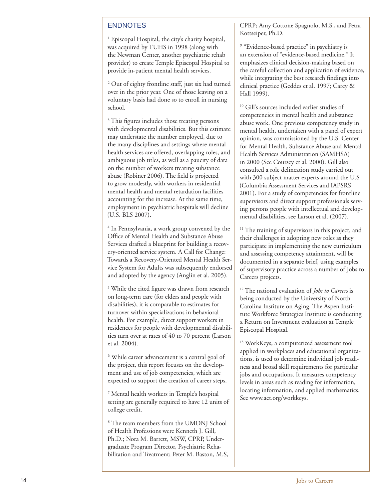#### ENDNOTES

<sup>1</sup> Episcopal Hospital, the city's charity hospital, was acquired by TUHS in 1998 (along with the Newman Center, another psychiatric rehab provider) to create Temple Episcopal Hospital to provide in-patient mental health services.

2 Out of eighty frontline staff, just six had turned over in the prior year. One of those leaving on a voluntary basis had done so to enroll in nursing school.

<sup>3</sup> This figures includes those treating persons with developmental disabilities. But this estimate may understate the number employed, due to the many disciplines and settings where mental health services are offered, overlapping roles, and ambiguous job titles, as well as a paucity of data on the number of workers treating substance abuse (Robiner 2006). The field is projected to grow modestly, with workers in residential mental health and mental retardation facilities accounting for the increase. At the same time, employment in psychiatric hospitals will decline (U.S. BLS 2007).

4 In Pennsylvania, a work group convened by the Office of Mental Health and Substance Abuse Services drafted a blueprint for building a recov ery-oriented service system. A Call for Change: Towards a Recovery-Oriented Mental Health Ser vice System for Adults was subsequently endorsed and adopted by the agency (Anglin et al. 2005).

<sup>5</sup> While the cited figure was drawn from research on long-term care (for elders and people with disabilities), it is comparable to estimates for turnover within specializations in behavioral health. For example, direct support workers in residences for people with developmental disabili ties turn over at rates of 40 to 70 percent (Larson et al. 2004).

 While career advancement is a central goal of the project, this report focuses on the develop ment and use of job competencies, which are expected to support the creation of career steps.

7 Mental health workers in Temple's hospital setting are generally required to have 12 units of college credit.

8 The team members from the UMDNJ School of Health Professions were Kenneth J. Gill, Ph.D.; Nora M. Barrett, MSW, CPRP, Under graduate Program Director, Psychiatric Reha bilitation and Treatment; Peter M. Baston, M.S, CPRP; Amy Cottone Spagnolo, M.S., and Petra Kottseiper, Ph.D.

<sup>9</sup> "Evidence-based practice" in psychiatry is an extension of "evidence-based medicine." It emphasizes clinical decision-making based on the careful collection and application of evidence, while integrating the best research findings into clinical practice (Geddes et al. 1997; Carey & Hall 1999).

10 Gill's sources included earlier studies of competencies in mental health and substance abuse work. One previous competency study in mental health, undertaken with a panel of expert opinion, was commissioned by the U.S. Center for Mental Health, Substance Abuse and Mental Health Services Administration (SAMHSA) in 2000 (See Coursey et al. 2000). Gill also consulted a role delineation study carried out with 300 subject matter experts around the U.S (Columbia Assessment Services and IAPSRS 2001). For a study of competencies for frontline supervisors and direct support professionals serv ing persons people with intellectual and develop mental disabilities, see Larson et al. (2007).

<sup>11</sup> The training of supervisors in this project, and their challenges in adopting new roles as they participate in implementing the new curriculum and assessing competency attainment, will be documented in a separate brief, using examples of supervisory practice across a number of Jobs to Careers projects.

12 The national evaluation of *Jobs to Careers* is being conducted by the University of North Carolina Institute on Aging. The Aspen Insti tute Workforce Strategies Institute is conducting a Return on Investment evaluation at Temple Episcopal Hospital.

<sup>13</sup> WorkKeys, a computerized assessment tool applied in workplaces and educational organiza tions, is used to determine individual job readi ness and broad skill requirements for particular jobs and occupations. It measures competency levels in areas such as reading for information, locating information, and applied mathematics. See www.act.org/workkeys.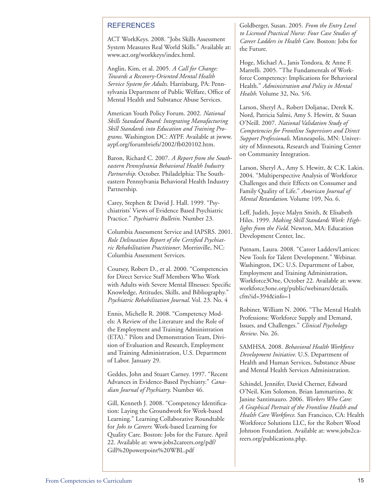#### **REFERENCES**

ACT WorkKeys. 2008. "Jobs Skills Assessment System Measures Real World Skills." Available at: www.act.org/workkeys/index.html.

Anglin, Kim, et al. 2005. *A Call for Change: Towards a Recovery-Oriented Mental Health Service System for Adults*. Harrisburg, PA: Pennsylvania Department of Public Welfare, Office of Mental Health and Substance Abuse Services.

American Youth Policy Forum. 2002. *National Skills Standard Board: Integrating Manufacturing Skill Standards into Education and Training Programs*. Washington DC: AYPF. Available at jwww. aypf.org/forumbriefs/2002/fb020102.htm.

Baron, Richard C. 2007. *A Report from the Southeastern Pennsylvania Behavioral Health Industry Partnership*. October. Philadelphia: The Southeastern Pennsylvania Behavioral Health Industry Partnership.

Carey, Stephen & David J. Hall. 1999. "Psychiatrists' Views of Evidence Based Psychiatric Practice." *Psychiatric Bulletin*. Number 23.

Columbia Assessment Service and IAPSRS. 2001. *Role Delineation Report of the Certified Psychiatric Rehabilitation Practitioner*. Morrisville, NC: Columbia Assessment Services.

Coursey, Robert D., et al. 2000. "Competencies for Direct Service Staff Members Who Work with Adults with Severe Mental Illnesses: Specific Knowledge, Attitudes, Skills, and Bibliography." *Psychiatric Rehabilitation Journal*. Vol. 23. No. 4

Ennis, Michelle R. 2008. "Competency Models: A Review of the Literature and the Role of the Employment and Training Administration (ETA)." Pilots and Demonstration Team, Division of Evaluation and Research, Employment and Training Administration, U.S. Department of Labor. January 29.

Geddes, John and Stuart Carney. 1997. "Recent Advances in Evidence-Based Psychiatry." *Canadian Journal of Psychiatry*. Number 46.

Gill, Kenneth J. 2008. "Competency Identification: Laying the Groundwork for Work-based Learning." Learning Collaborative Roundtable for *Jobs to Careers*: Work-based Learning for Quality Care. Boston: Jobs for the Future. April 22. Available at: www.jobs2careers.org/pdf/ Gill%20powerpoint%20WBL.pdf

Goldberger, Susan. 2005. *From the Entry Level to Licensed Practical Nurse: Four Case Studies of Career Ladders in Health Care*. Boston: Jobs for the Future.

Hoge, Michael A., Janis Tondora, & Anne F. Marrelli. 2005. "The Fundamentals of Workforce Competency: Implications for Behavioral Health." *Administration and Policy in Mental Health*. Volume 32, No. 5/6.

Larson, Sheryl A., Robert Doljanac, Derek K. Nord, Patricia Salmi, Amy S. Hewitt, & Susan O'Neill. 2007. *National Validation Study of Competencies for Frontline Supervisors and Direct Support Professionals*. Minneapolis, MN: University of Minnesota, Research and Training Center on Community Integration.

Larson, Sheryl A., Amy S. Hewitt, & C.K. Lakin. 2004. "Multiperspective Analysis of Workforce Challenges and their Effects on Consumer and Family Quality of Life." *American Journal of Mental Retardation*. Volume 109, No. 6.

Leff, Judith, Joyce Malyn Smith, & Elisabeth Hiles. 1999. *Making Skill Standards Work: Highlights from the Field*. Newton, MA: Education Development Center, Inc.

Putnam, Laura. 2008. "Career Ladders/Lattices: New Tools for Talent Development." Webinar. Washington, DC: U.S. Department of Labor, Employment and Training Administration, Workforce3One, October 22. Available at: www. workforce3one.org/public/webinars/details. cfm?id=394&info=1

Robiner, William N. 2006. "The Mental Health Professions: Workforce Supply and Demand, Issues, and Challenges." *Clinical Psychology Review*. No. 26.

SAMHSA. 2008. *Behavioral Health Workforce Development Initiative*. U.S. Department of Health and Human Services, Substance Abuse and Mental Health Services Administration.

Schindel, Jennifer, David Cherner, Edward O'Neil, Kim Solomon, Brian Iammartino, & Janine Santimauro. 2006. *Workers Who Care: A Graphical Portrait of the Frontline Health and Health Care Workforce*. San Francisco, CA: Health Workforce Solutions LLC, for the Robert Wood Johnson Foundation. Available at: www.jobs2careers.org/publications.php.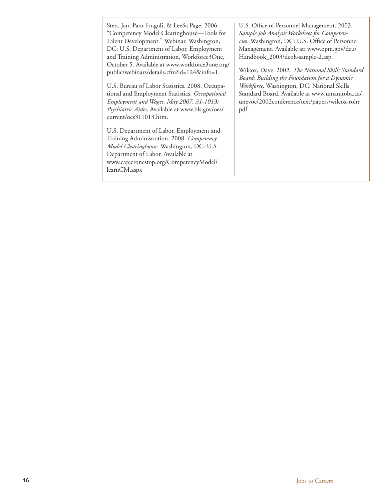Sten, Jan, Pam Frugoli, & LeeSa Page. 2006. "Competency Model Clearinghouse—Tools for Talent Development." Webinar. Washington, DC: U.S. Department of Labor, Employment and Training Administration, Workforce3One, October 5. Available at www.workforce3one.org/ public/webinars/details.cfm?id=124&info=1.

U.S. Bureau of Labor Statistics. 2008. Occupational and Employment Statistics. *Occupational Employment and Wages, May 2007. 31-1013: Psychiatric Aides*. Available at www.bls.gov/oes/ current/oes311013.htm.

U.S. Department of Labor, Employment and Training Administration. 2008. *Competency Model Clearinghouse*. Washington, DC: U.S. Department of Labor. Available at www.careeronestop.org/CompetencyModel/ learnCM.aspx

U.S. Office of Personnel Management. 2003. *Sample Job Analysis Worksheet for Competencie*s. Washington, DC: U.S. Office of Personnel Management. Available at: www.opm.gov/deu/ Handbook\_2003/deoh-sample-2.asp.

Wilcox, Dave. 2002. *The National Skills Standard Board: Building the Foundation for a Dynamic Workforce*. Washington, DC: National Skills Standard Board. Available at www.umanitoba.ca/ unevoc/2002conference/text/papers/wilcox-rohr. pdf.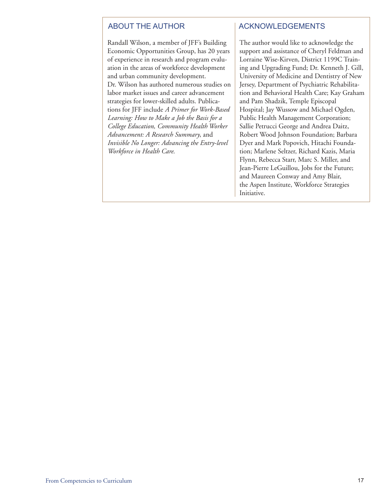Randall Wilson, a member of JFF's Building Economic Opportunities Group, has 20 years of experience in research and program evaluation in the areas of workforce development and urban community development. Dr. Wilson has authored numerous studies on labor market issues and career advancement strategies for lower-skilled adults. Publications for JFF include *A Primer for Work-Based Learning: How to Make a Job the Basis for a College Education, Community Health Worker Advancement: A Research Summary*, and *Invisible No Longer: Advancing the Entry-level Workforce in Health Care*.

#### ABOUT THE AUTHOR ACKNOWLEDGEMENTS

The author would like to acknowledge the support and assistance of Cheryl Feldman and Lorraine Wise-Kirven, District 1199C Training and Upgrading Fund; Dr. Kenneth J. Gill, University of Medicine and Dentistry of New Jersey, Department of Psychiatric Rehabilitation and Behavioral Health Care; Kay Graham and Pam Shadzik, Temple Episcopal Hospital; Jay Wussow and Michael Ogden, Public Health Management Corporation; Sallie Petrucci George and Andrea Daitz, Robert Wood Johnson Foundation; Barbara Dyer and Mark Popovich, Hitachi Foundation; Marlene Seltzer, Richard Kazis, Maria Flynn, Rebecca Starr, Marc S. Miller, and Jean-Pierre LeGuillou, Jobs for the Future; and Maureen Conway and Amy Blair, the Aspen Institute, Workforce Strategies Initiative.